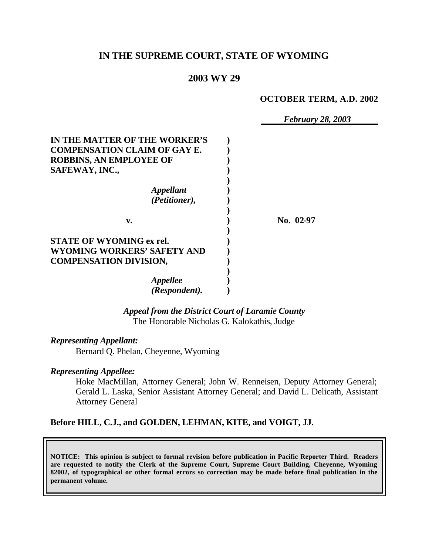# **IN THE SUPREME COURT, STATE OF WYOMING**

## **2003 WY 29**

#### **OCTOBER TERM, A.D. 2002**

|                                     | <b>February 28, 2003</b> |
|-------------------------------------|--------------------------|
| IN THE MATTER OF THE WORKER'S       |                          |
| <b>COMPENSATION CLAIM OF GAY E.</b> |                          |
| <b>ROBBINS, AN EMPLOYEE OF</b>      |                          |
| SAFEWAY, INC.,                      |                          |
|                                     |                          |
| <i><b>Appellant</b></i>             |                          |
| (Petitioner),                       |                          |
|                                     |                          |
| v.                                  | No. 02-97                |
|                                     |                          |
| <b>STATE OF WYOMING ex rel.</b>     |                          |
| WYOMING WORKERS' SAFETY AND         |                          |
| <b>COMPENSATION DIVISION,</b>       |                          |
|                                     |                          |
| Appellee                            |                          |
| (Respondent).                       |                          |

### *Appeal from the District Court of Laramie County* The Honorable Nicholas G. Kalokathis, Judge

*Representing Appellant:*

Bernard Q. Phelan, Cheyenne, Wyoming

### *Representing Appellee:*

Hoke MacMillan, Attorney General; John W. Renneisen, Deputy Attorney General; Gerald L. Laska, Senior Assistant Attorney General; and David L. Delicath, Assistant Attorney General

### **Before HILL, C.J., and GOLDEN, LEHMAN, KITE, and VOIGT, JJ.**

**NOTICE: This opinion is subject to formal revision before publication in Pacific Reporter Third. Readers are requested to notify the Clerk of the Supreme Court, Supreme Court Building, Cheyenne, Wyoming 82002, of typographical or other formal errors so correction may be made before final publication in the permanent volume.**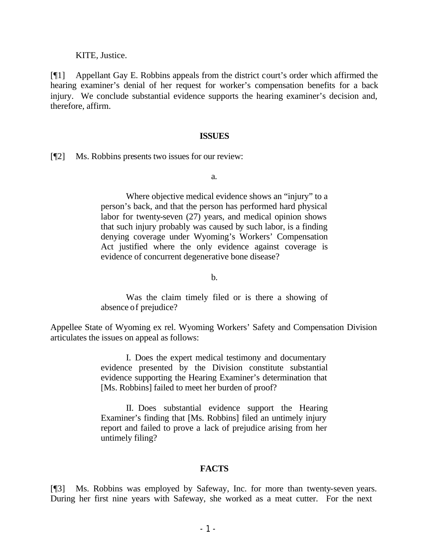KITE, Justice.

[¶1] Appellant Gay E. Robbins appeals from the district court's order which affirmed the hearing examiner's denial of her request for worker's compensation benefits for a back injury. We conclude substantial evidence supports the hearing examiner's decision and, therefore, affirm.

#### **ISSUES**

[¶2] Ms. Robbins presents two issues for our review:

a.

Where objective medical evidence shows an "injury" to a person's back, and that the person has performed hard physical labor for twenty-seven (27) years, and medical opinion shows that such injury probably was caused by such labor, is a finding denying coverage under Wyoming's Workers' Compensation Act justified where the only evidence against coverage is evidence of concurrent degenerative bone disease?

b.

Was the claim timely filed or is there a showing of absence of prejudice?

Appellee State of Wyoming ex rel. Wyoming Workers' Safety and Compensation Division articulates the issues on appeal as follows:

> I. Does the expert medical testimony and documentary evidence presented by the Division constitute substantial evidence supporting the Hearing Examiner's determination that [Ms. Robbins] failed to meet her burden of proof?

> II. Does substantial evidence support the Hearing Examiner's finding that [Ms. Robbins] filed an untimely injury report and failed to prove a lack of prejudice arising from her untimely filing?

### **FACTS**

[¶3] Ms. Robbins was employed by Safeway, Inc. for more than twenty-seven years. During her first nine years with Safeway, she worked as a meat cutter. For the next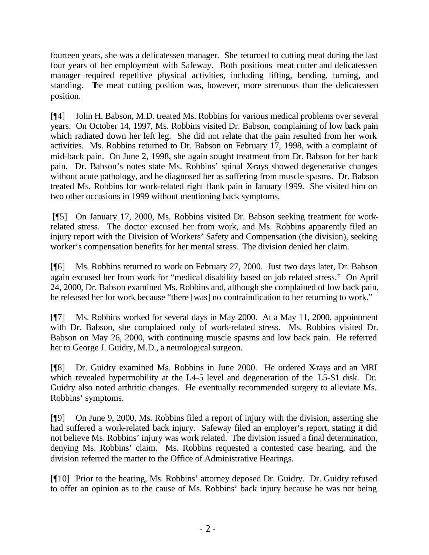fourteen years, she was a delicatessen manager. She returned to cutting meat during the last four years of her employment with Safeway. Both positions–meat cutter and delicatessen manager–required repetitive physical activities, including lifting, bending, turning, and standing. The meat cutting position was, however, more strenuous than the delicatessen position.

[¶4] John H. Babson, M.D. treated Ms. Robbins for various medical problems over several years. On October 14, 1997, Ms. Robbins visited Dr. Babson, complaining of low back pain which radiated down her left leg. She did not relate that the pain resulted from her work activities. Ms. Robbins returned to Dr. Babson on February 17, 1998, with a complaint of mid-back pain. On June 2, 1998, she again sought treatment from Dr. Babson for her back pain. Dr. Babson's notes state Ms. Robbins' spinal X-rays showed degenerative changes without acute pathology, and he diagnosed her as suffering from muscle spasms. Dr. Babson treated Ms. Robbins for work-related right flank pain in January 1999. She visited him on two other occasions in 1999 without mentioning back symptoms.

 [¶5] On January 17, 2000, Ms. Robbins visited Dr. Babson seeking treatment for workrelated stress. The doctor excused her from work, and Ms. Robbins apparently filed an injury report with the Division of Workers' Safety and Compensation (the division), seeking worker's compensation benefits for her mental stress. The division denied her claim.

[¶6] Ms. Robbins returned to work on February 27, 2000. Just two days later, Dr. Babson again excused her from work for "medical disability based on job related stress." On April 24, 2000, Dr. Babson examined Ms. Robbins and, although she complained of low back pain, he released her for work because "there [was] no contraindication to her returning to work."

[¶7] Ms. Robbins worked for several days in May 2000. At a May 11, 2000, appointment with Dr. Babson, she complained only of work-related stress. Ms. Robbins visited Dr. Babson on May 26, 2000, with continuing muscle spasms and low back pain. He referred her to George J. Guidry, M.D., a neurological surgeon.

[¶8] Dr. Guidry examined Ms. Robbins in June 2000. He ordered X-rays and an MRI which revealed hypermobility at the L4-5 level and degeneration of the L5-S1 disk. Dr. Guidry also noted arthritic changes. He eventually recommended surgery to alleviate Ms. Robbins' symptoms.

[¶9] On June 9, 2000, Ms. Robbins filed a report of injury with the division, asserting she had suffered a work-related back injury. Safeway filed an employer's report, stating it did not believe Ms. Robbins' injury was work related. The division issued a final determination, denying Ms. Robbins' claim. Ms. Robbins requested a contested case hearing, and the division referred the matter to the Office of Administrative Hearings.

[¶10] Prior to the hearing, Ms. Robbins' attorney deposed Dr. Guidry. Dr. Guidry refused to offer an opinion as to the cause of Ms. Robbins' back injury because he was not being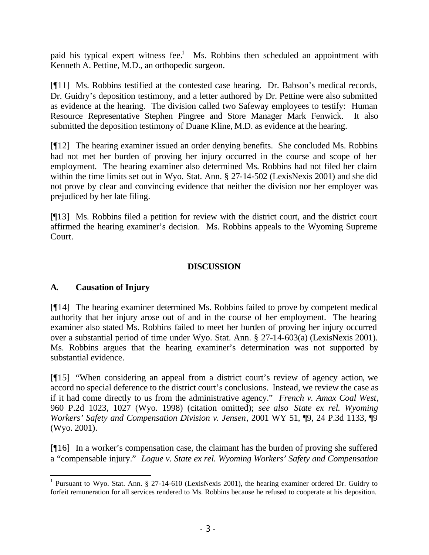paid his typical expert witness fee.<sup>1</sup> Ms. Robbins then scheduled an appointment with Kenneth A. Pettine, M.D., an orthopedic surgeon.

[¶11] Ms. Robbins testified at the contested case hearing. Dr. Babson's medical records, Dr. Guidry's deposition testimony, and a letter authored by Dr. Pettine were also submitted as evidence at the hearing. The division called two Safeway employees to testify: Human Resource Representative Stephen Pingree and Store Manager Mark Fenwick. It also submitted the deposition testimony of Duane Kline, M.D. as evidence at the hearing.

[¶12] The hearing examiner issued an order denying benefits. She concluded Ms. Robbins had not met her burden of proving her injury occurred in the course and scope of her employment. The hearing examiner also determined Ms. Robbins had not filed her claim within the time limits set out in Wyo. Stat. Ann. § 27-14-502 (LexisNexis 2001) and she did not prove by clear and convincing evidence that neither the division nor her employer was prejudiced by her late filing.

[¶13] Ms. Robbins filed a petition for review with the district court, and the district court affirmed the hearing examiner's decision. Ms. Robbins appeals to the Wyoming Supreme Court.

# **DISCUSSION**

# **A. Causation of Injury**

[¶14] The hearing examiner determined Ms. Robbins failed to prove by competent medical authority that her injury arose out of and in the course of her employment. The hearing examiner also stated Ms. Robbins failed to meet her burden of proving her injury occurred over a substantial period of time under Wyo. Stat. Ann. § 27-14-603(a) (LexisNexis 2001). Ms. Robbins argues that the hearing examiner's determination was not supported by substantial evidence.

[¶15] "When considering an appeal from a district court's review of agency action, we accord no special deference to the district court's conclusions. Instead, we review the case as if it had come directly to us from the administrative agency." *French v. Amax Coal West*, 960 P.2d 1023, 1027 (Wyo. 1998) (citation omitted); *see also State ex rel. Wyoming Workers' Safety and Compensation Division v. Jensen*, 2001 WY 51, ¶9, 24 P.3d 1133, ¶9 (Wyo. 2001).

[¶16] In a worker's compensation case, the claimant has the burden of proving she suffered a "compensable injury." *Logue v. State ex rel. Wyoming Workers' Safety and Compensation* 

<sup>&</sup>lt;sup>1</sup> Pursuant to Wyo. Stat. Ann. § 27-14-610 (LexisNexis 2001), the hearing examiner ordered Dr. Guidry to forfeit remuneration for all services rendered to Ms. Robbins because he refused to cooperate at his deposition.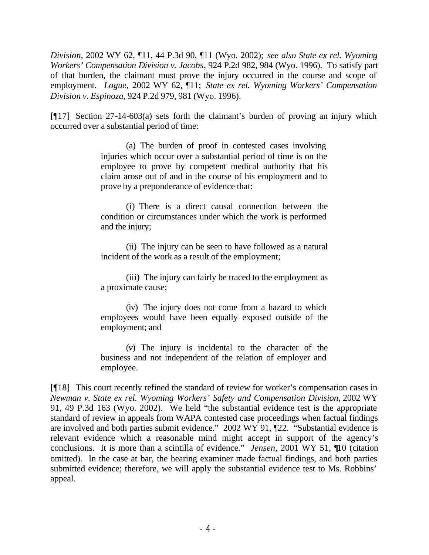*Division*, 2002 WY 62, ¶11, 44 P.3d 90, ¶11 (Wyo. 2002); *see also State ex rel. Wyoming Workers' Compensation Division v. Jacobs*, 924 P.2d 982, 984 (Wyo. 1996). To satisfy part of that burden, the claimant must prove the injury occurred in the course and scope of employment. *Logue,* 2002 WY 62, ¶11; *State ex rel. Wyoming Workers' Compensation Division v. Espinoza*, 924 P.2d 979, 981 (Wyo. 1996).

[¶17] Section 27-14-603(a) sets forth the claimant's burden of proving an injury which occurred over a substantial period of time:

> (a) The burden of proof in contested cases involving injuries which occur over a substantial period of time is on the employee to prove by competent medical authority that his claim arose out of and in the course of his employment and to prove by a preponderance of evidence that:

> (i) There is a direct causal connection between the condition or circumstances under which the work is performed and the injury;

> (ii) The injury can be seen to have followed as a natural incident of the work as a result of the employment;

> (iii) The injury can fairly be traced to the employment as a proximate cause;

> (iv) The injury does not come from a hazard to which employees would have been equally exposed outside of the employment; and

> (v) The injury is incidental to the character of the business and not independent of the relation of employer and employee.

[¶18] This court recently refined the standard of review for worker's compensation cases in *Newman v. State ex rel. Wyoming Workers' Safety and Compensation Division*, 2002 WY 91, 49 P.3d 163 (Wyo. 2002). We held "the substantial evidence test is the appropriate standard of review in appeals from WAPA contested case proceedings when factual findings are involved and both parties submit evidence." 2002 WY 91, ¶22. "Substantial evidence is relevant evidence which a reasonable mind might accept in support of the agency's conclusions. It is more than a scintilla of evidence." *Jensen*, 2001 WY 51, ¶10 (citation omitted). In the case at bar, the hearing examiner made factual findings, and both parties submitted evidence; therefore, we will apply the substantial evidence test to Ms. Robbins' appeal.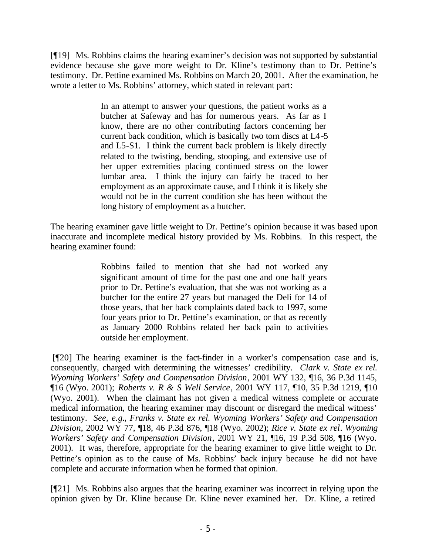[¶19] Ms. Robbins claims the hearing examiner's decision was not supported by substantial evidence because she gave more weight to Dr. Kline's testimony than to Dr. Pettine's testimony. Dr. Pettine examined Ms. Robbins on March 20, 2001. After the examination, he wrote a letter to Ms. Robbins' attorney, which stated in relevant part:

> In an attempt to answer your questions, the patient works as a butcher at Safeway and has for numerous years. As far as I know, there are no other contributing factors concerning her current back condition, which is basically two torn discs at L4-5 and L5-S1. I think the current back problem is likely directly related to the twisting, bending, stooping, and extensive use of her upper extremities placing continued stress on the lower lumbar area. I think the injury can fairly be traced to her employment as an approximate cause, and I think it is likely she would not be in the current condition she has been without the long history of employment as a butcher.

The hearing examiner gave little weight to Dr. Pettine's opinion because it was based upon inaccurate and incomplete medical history provided by Ms. Robbins. In this respect, the hearing examiner found:

> Robbins failed to mention that she had not worked any significant amount of time for the past one and one half years prior to Dr. Pettine's evaluation, that she was not working as a butcher for the entire 27 years but managed the Deli for 14 of those years, that her back complaints dated back to 1997, some four years prior to Dr. Pettine's examination, or that as recently as January 2000 Robbins related her back pain to activities outside her employment.

 [¶20] The hearing examiner is the fact-finder in a worker's compensation case and is, consequently, charged with determining the witnesses' credibility. *Clark v. State ex rel. Wyoming Workers' Safety and Compensation Division*, 2001 WY 132, ¶16, 36 P.3d 1145, ¶16 (Wyo. 2001); *Roberts v. R & S Well Service*, 2001 WY 117, ¶10, 35 P.3d 1219, ¶10 (Wyo. 2001). When the claimant has not given a medical witness complete or accurate medical information, the hearing examiner may discount or disregard the medical witness' testimony. *See, e.g.*, *Franks v. State ex rel. Wyoming Workers' Safety and Compensation Division*, 2002 WY 77, ¶18, 46 P.3d 876, ¶18 (Wyo. 2002); *Rice v. State ex rel. Wyoming Workers' Safety and Compensation Division*, 2001 WY 21, ¶16, 19 P.3d 508, ¶16 (Wyo. 2001). It was, therefore, appropriate for the hearing examiner to give little weight to Dr. Pettine's opinion as to the cause of Ms. Robbins' back injury because he did not have complete and accurate information when he formed that opinion.

[¶21] Ms. Robbins also argues that the hearing examiner was incorrect in relying upon the opinion given by Dr. Kline because Dr. Kline never examined her. Dr. Kline, a retired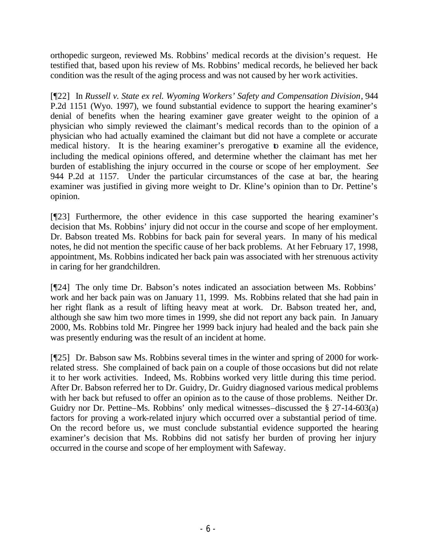orthopedic surgeon, reviewed Ms. Robbins' medical records at the division's request. He testified that, based upon his review of Ms. Robbins' medical records, he believed her back condition was the result of the aging process and was not caused by her work activities.

[¶22] In *Russell v. State ex rel. Wyoming Workers' Safety and Compensation Division*, 944 P.2d 1151 (Wyo. 1997), we found substantial evidence to support the hearing examiner's denial of benefits when the hearing examiner gave greater weight to the opinion of a physician who simply reviewed the claimant's medical records than to the opinion of a physician who had actually examined the claimant but did not have a complete or accurate medical history. It is the hearing examiner's prerogative to examine all the evidence, including the medical opinions offered, and determine whether the claimant has met her burden of establishing the injury occurred in the course or scope of her employment. *See*  944 P.2d at 1157. Under the particular circumstances of the case at bar, the hearing examiner was justified in giving more weight to Dr. Kline's opinion than to Dr. Pettine's opinion.

[¶23] Furthermore, the other evidence in this case supported the hearing examiner's decision that Ms. Robbins' injury did not occur in the course and scope of her employment. Dr. Babson treated Ms. Robbins for back pain for several years. In many of his medical notes, he did not mention the specific cause of her back problems. At her February 17, 1998, appointment, Ms. Robbins indicated her back pain was associated with her strenuous activity in caring for her grandchildren.

[¶24] The only time Dr. Babson's notes indicated an association between Ms. Robbins' work and her back pain was on January 11, 1999. Ms. Robbins related that she had pain in her right flank as a result of lifting heavy meat at work. Dr. Babson treated her, and, although she saw him two more times in 1999, she did not report any back pain. In January 2000, Ms. Robbins told Mr. Pingree her 1999 back injury had healed and the back pain she was presently enduring was the result of an incident at home.

[¶25] Dr. Babson saw Ms. Robbins several times in the winter and spring of 2000 for workrelated stress. She complained of back pain on a couple of those occasions but did not relate it to her work activities. Indeed, Ms. Robbins worked very little during this time period. After Dr. Babson referred her to Dr. Guidry, Dr. Guidry diagnosed various medical problems with her back but refused to offer an opinion as to the cause of those problems. Neither Dr. Guidry nor Dr. Pettine–Ms. Robbins' only medical witnesses–discussed the § 27-14-603(a) factors for proving a work-related injury which occurred over a substantial period of time. On the record before us, we must conclude substantial evidence supported the hearing examiner's decision that Ms. Robbins did not satisfy her burden of proving her injury occurred in the course and scope of her employment with Safeway.